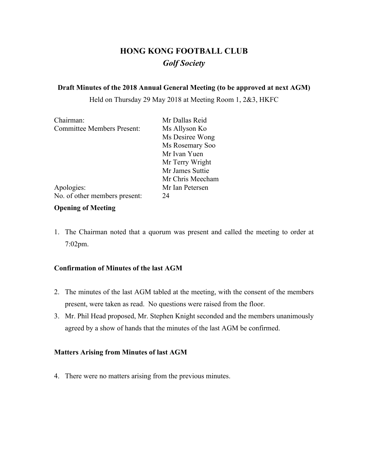# **HONG KONG FOOTBALL CLUB** *Golf Society*

#### **Draft Minutes of the 2018 Annual General Meeting (to be approved at next AGM)**

Held on Thursday 29 May 2018 at Meeting Room 1, 2&3, HKFC

| Chairman:                         | Mr Dallas Reid   |  |  |
|-----------------------------------|------------------|--|--|
| <b>Committee Members Present:</b> | Ms Allyson Ko    |  |  |
|                                   | Ms Desiree Wong  |  |  |
|                                   | Ms Rosemary Soo  |  |  |
|                                   | Mr Ivan Yuen     |  |  |
|                                   | Mr Terry Wright  |  |  |
|                                   | Mr James Suttie  |  |  |
|                                   | Mr Chris Meecham |  |  |
| Apologies:                        | Mr Ian Petersen  |  |  |
| No. of other members present:     | 24               |  |  |

## **Opening of Meeting**

1. The Chairman noted that a quorum was present and called the meeting to order at 7:02pm.

## **Confirmation of Minutes of the last AGM**

- 2. The minutes of the last AGM tabled at the meeting, with the consent of the members present, were taken as read. No questions were raised from the floor.
- 3. Mr. Phil Head proposed, Mr. Stephen Knight seconded and the members unanimously agreed by a show of hands that the minutes of the last AGM be confirmed.

## **Matters Arising from Minutes of last AGM**

4. There were no matters arising from the previous minutes.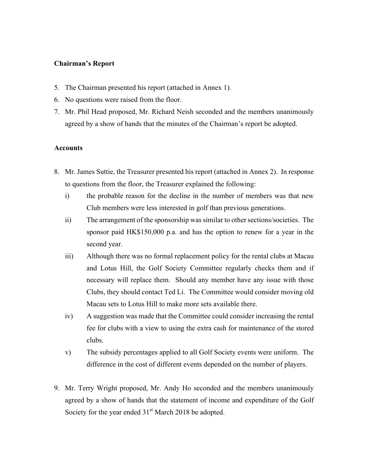#### **Chairman's Report**

- 5. The Chairman presented his report (attached in Annex 1).
- 6. No questions were raised from the floor.
- 7. Mr. Phil Head proposed, Mr. Richard Neish seconded and the members unanimously agreed by a show of hands that the minutes of the Chairman's report be adopted.

#### **Accounts**

- 8. Mr. James Suttie, the Treasurer presented his report (attached in Annex 2). In response to questions from the floor, the Treasurer explained the following:
	- i) the probable reason for the decline in the number of members was that new Club members were less interested in golf than previous generations.
	- ii) The arrangement of the sponsorship was similar to other sections/societies. The sponsor paid HK\$150,000 p.a. and has the option to renew for a year in the second year.
	- iii) Although there was no formal replacement policy for the rental clubs at Macau and Lotus Hill, the Golf Society Committee regularly checks them and if necessary will replace them. Should any member have any issue with those Clubs, they should contact Ted Li. The Committee would consider moving old Macau sets to Lotus Hill to make more sets available there.
	- iv) A suggestion was made that the Committee could consider increasing the rental fee for clubs with a view to using the extra cash for maintenance of the stored clubs.
	- v) The subsidy percentages applied to all Golf Society events were uniform. The difference in the cost of different events depended on the number of players.
- 9. Mr. Terry Wright proposed, Mr. Andy Ho seconded and the members unanimously agreed by a show of hands that the statement of income and expenditure of the Golf Society for the year ended  $31<sup>st</sup>$  March 2018 be adopted.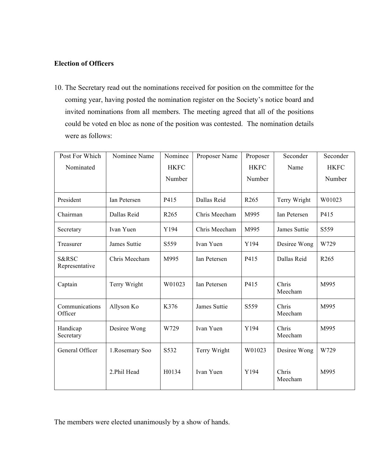## **Election of Officers**

10. The Secretary read out the nominations received for position on the committee for the coming year, having posted the nomination register on the Society's notice board and invited nominations from all members. The meeting agreed that all of the positions could be voted en bloc as none of the position was contested. The nomination details were as follows:

| Post For Which<br>Nominated        | Nominee Name    | Nominee<br><b>HKFC</b> | Proposer Name | Proposer<br><b>HKFC</b> | Seconder<br>Name | Seconder<br><b>HKFC</b> |
|------------------------------------|-----------------|------------------------|---------------|-------------------------|------------------|-------------------------|
|                                    |                 | Number                 |               | Number                  |                  | Number                  |
| President                          | Ian Petersen    | P415                   | Dallas Reid   | R <sub>265</sub>        | Terry Wright     | W01023                  |
| Chairman                           | Dallas Reid     | R <sub>265</sub>       | Chris Meecham | M995                    | Ian Petersen     | P415                    |
| Secretary                          | Ivan Yuen       | Y194                   | Chris Meecham | M995                    | James Suttie     | S559                    |
| Treasurer                          | James Suttie    | S559                   | Ivan Yuen     | Y194                    | Desiree Wong     | W729                    |
| <b>S&amp;RSC</b><br>Representative | Chris Meecham   | M995                   | Ian Petersen  | P415                    | Dallas Reid      | R <sub>265</sub>        |
| Captain                            | Terry Wright    | W01023                 | Ian Petersen  | P415                    | Chris<br>Meecham | M995                    |
| Communications<br>Officer          | Allyson Ko      | K376                   | James Suttie  | S559                    | Chris<br>Meecham | M995                    |
| Handicap<br>Secretary              | Desiree Wong    | W729                   | Ivan Yuen     | Y194                    | Chris<br>Meecham | M995                    |
| General Officer                    | 1. Rosemary Soo | S532                   | Terry Wright  | W01023                  | Desiree Wong     | W729                    |
|                                    | 2.Phil Head     | H0134                  | Ivan Yuen     | Y194                    | Chris<br>Meecham | M995                    |

The members were elected unanimously by a show of hands.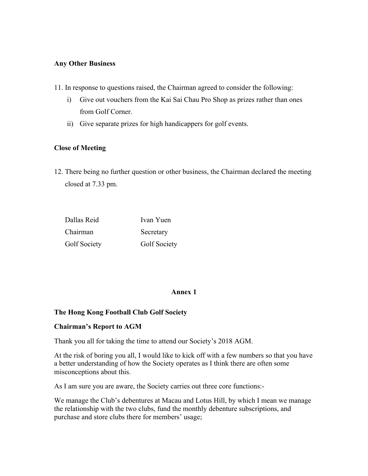#### **Any Other Business**

- 11. In response to questions raised, the Chairman agreed to consider the following:
	- i) Give out vouchers from the Kai Sai Chau Pro Shop as prizes rather than ones from Golf Corner.
	- ii) Give separate prizes for high handicappers for golf events.

## **Close of Meeting**

12. There being no further question or other business, the Chairman declared the meeting closed at 7.33 pm.

| Dallas Reid  | Ivan Yuen    |
|--------------|--------------|
| Chairman     | Secretary    |
| Golf Society | Golf Society |

## **Annex 1**

## **The Hong Kong Football Club Golf Society**

## **Chairman's Report to AGM**

Thank you all for taking the time to attend our Society's 2018 AGM.

At the risk of boring you all, I would like to kick off with a few numbers so that you have a better understanding of how the Society operates as I think there are often some misconceptions about this.

As I am sure you are aware, the Society carries out three core functions:-

We manage the Club's debentures at Macau and Lotus Hill, by which I mean we manage the relationship with the two clubs, fund the monthly debenture subscriptions, and purchase and store clubs there for members' usage;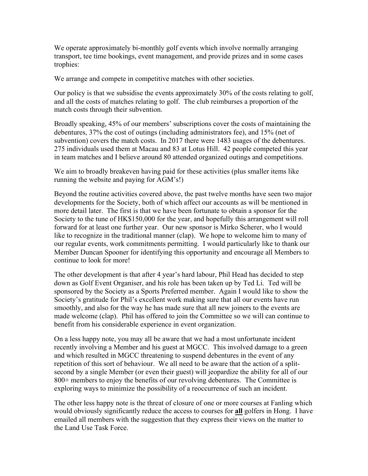We operate approximately bi-monthly golf events which involve normally arranging transport, tee time bookings, event management, and provide prizes and in some cases trophies:

We arrange and compete in competitive matches with other societies.

Our policy is that we subsidise the events approximately 30% of the costs relating to golf, and all the costs of matches relating to golf. The club reimburses a proportion of the match costs through their subvention.

Broadly speaking, 45% of our members' subscriptions cover the costs of maintaining the debentures, 37% the cost of outings (including administrators fee), and 15% (net of subvention) covers the match costs. In 2017 there were 1483 usages of the debentures. 275 individuals used them at Macau and 83 at Lotus Hill. 42 people competed this year in team matches and I believe around 80 attended organized outings and competitions.

We aim to broadly breakeven having paid for these activities (plus smaller items like running the website and paying for AGM's!)

Beyond the routine activities covered above, the past twelve months have seen two major developments for the Society, both of which affect our accounts as will be mentioned in more detail later. The first is that we have been fortunate to obtain a sponsor for the Society to the tune of HK\$150,000 for the year, and hopefully this arrangement will roll forward for at least one further year. Our new sponsor is Mirko Scherer, who I would like to recognize in the traditional manner (clap). We hope to welcome him to many of our regular events, work commitments permitting. I would particularly like to thank our Member Duncan Spooner for identifying this opportunity and encourage all Members to continue to look for more!

The other development is that after 4 year's hard labour, Phil Head has decided to step down as Golf Event Organiser, and his role has been taken up by Ted Li. Ted will be sponsored by the Society as a Sports Preferred member. Again I would like to show the Society's gratitude for Phil's excellent work making sure that all our events have run smoothly, and also for the way he has made sure that all new joiners to the events are made welcome (clap). Phil has offered to join the Committee so we will can continue to benefit from his considerable experience in event organization.

On a less happy note, you may all be aware that we had a most unfortunate incident recently involving a Member and his guest at MGCC. This involved damage to a green and which resulted in MGCC threatening to suspend debentures in the event of any repetition of this sort of behaviour. We all need to be aware that the action of a splitsecond by a single Member (or even their guest) will jeopardize the ability for all of our 800+ members to enjoy the benefits of our revolving debentures. The Committee is exploring ways to minimize the possibility of a reoccurrence of such an incident.

The other less happy note is the threat of closure of one or more courses at Fanling which would obviously significantly reduce the access to courses for **all** golfers in Hong. I have emailed all members with the suggestion that they express their views on the matter to the Land Use Task Force.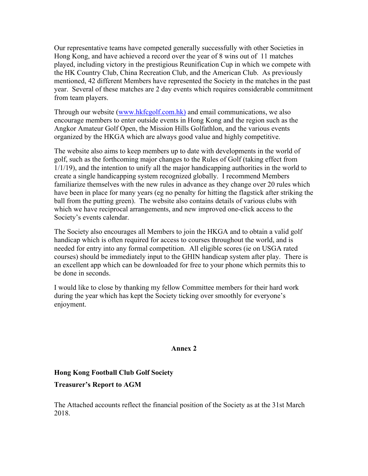Our representative teams have competed generally successfully with other Societies in Hong Kong, and have achieved a record over the year of 8 wins out of 11 matches played, including victory in the prestigious Reunification Cup in which we compete with the HK Country Club, China Recreation Club, and the American Club. As previously mentioned, 42 different Members have represented the Society in the matches in the past year. Several of these matches are 2 day events which requires considerable commitment from team players.

Through our website (www.hkfcgolf.com.hk) and email communications, we also encourage members to enter outside events in Hong Kong and the region such as the Angkor Amateur Golf Open, the Mission Hills Golfathlon, and the various events organized by the HKGA which are always good value and highly competitive.

The website also aims to keep members up to date with developments in the world of golf, such as the forthcoming major changes to the Rules of Golf (taking effect from 1/1/19), and the intention to unify all the major handicapping authorities in the world to create a single handicapping system recognized globally. I recommend Members familiarize themselves with the new rules in advance as they change over 20 rules which have been in place for many years (eg no penalty for hitting the flagstick after striking the ball from the putting green). The website also contains details of various clubs with which we have reciprocal arrangements, and new improved one-click access to the Society's events calendar.

The Society also encourages all Members to join the HKGA and to obtain a valid golf handicap which is often required for access to courses throughout the world, and is needed for entry into any formal competition. All eligible scores (ie on USGA rated courses) should be immediately input to the GHIN handicap system after play. There is an excellent app which can be downloaded for free to your phone which permits this to be done in seconds.

I would like to close by thanking my fellow Committee members for their hard work during the year which has kept the Society ticking over smoothly for everyone's enjoyment.

#### **Annex 2**

## **Hong Kong Football Club Golf Society Treasurer's Report to AGM**

The Attached accounts reflect the financial position of the Society as at the 31st March 2018.